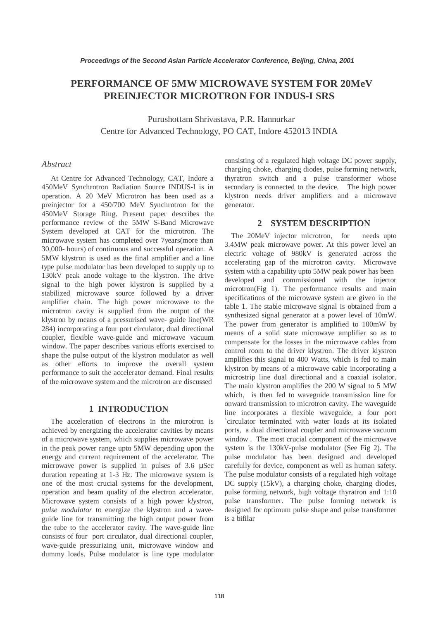## **PERFORMANCE OF 5MW MICROWAVE SYSTEM FOR 20MeV PREINJECTOR MICROTRON FOR INDUS-I SRS**

 Purushottam Shrivastava, P.R. Hannurkar Centre for Advanced Technology, PO CAT, Indore 452013 INDIA

#### *Abstract*

 At Centre for Advanced Technology, CAT, Indore a 450MeV Synchrotron Radiation Source INDUS-I is in operation. A 20 MeV Microtron has been used as a preinjector for a 450/700 MeV Synchrotron for the 450MeV Storage Ring. Present paper describes the performance review of the 5MW S-Band Microwave System developed at CAT for the microtron. The microwave system has completed over 7years(more than 30,000- hours) of continuous and successful operation. A 5MW klystron is used as the final amplifier and a line type pulse modulator has been developed to supply up to 130kV peak anode voltage to the klystron. The drive signal to the high power klystron is supplied by a stabilized microwave source followed by a driver amplifier chain. The high power microwave to the microtron cavity is supplied from the output of the klystron by means of a pressurised wave- guide line(WR 284) incorporating a four port circulator, dual directional coupler, flexible wave-guide and microwave vacuum window. The paper describes various efforts exercised to shape the pulse output of the klystron modulator as well as other efforts to improve the overall system performance to suit the accelerator demand. Final results of the microwave system and the microtron are discussed

#### **1 INTRODUCTION**

 The acceleration of electrons in the microtron is achieved by energizing the accelerator cavities by means of a microwave system, which supplies microwave power in the peak power range upto 5MW depending upon the energy and current requirement of the accelerator. The microwave power is supplied in pulses of 3.6 µSec duration repeating at 1-3 Hz. The microwave system is one of the most crucial systems for the development, operation and beam quality of the electron accelerator. Microwave system consists of a high power *klystron, pulse modulator* to energize the klystron and a waveguide line for transmitting the high output power from the tube to the accelerator cavity. The wave-guide line consists of four port circulator, dual directional coupler, wave-guide pressurizing unit, microwave window and dummy loads. Pulse modulator is line type modulator consisting of a regulated high voltage DC power supply, charging choke, charging diodes, pulse forming network, thyratron switch and a pulse transformer whose secondary is connected to the device. The high power klystron needs driver amplifiers and a microwave generator.

#### **2 SYSTEM DESCRIPTION**

The 20MeV injector microtron, for needs upto 3.4MW peak microwave power. At this power level an electric voltage of 980kV is generated across the accelerating gap of the microtron cavity. Microwave system with a capability upto 5MW peak power has been developed and commissioned with the injector microtron(Fig 1). The performance results and main specifications of the microwave system are given in the table 1. The stable microwave signal is obtained from a synthesized signal generator at a power level of 10mW. The power from generator is amplified to 100mW by means of a solid state microwave amplifier so as to compensate for the losses in the microwave cables from control room to the driver klystron. The driver klystron amplifies this signal to 400 Watts, which is fed to main klystron by means of a microwave cable incorporating a microstrip line dual directional and a coaxial isolator. The main klystron amplifies the 200 W signal to 5 MW which, is then fed to waveguide transmission line for onward transmission to microtron cavity. The waveguide line incorporates a flexible waveguide, a four port `circulator terminated with water loads at its isolated ports, a dual directional coupler and microwave vacuum window . The most crucial component of the microwave system is the 130kV-pulse modulator (See Fig 2). The pulse modulator has been designed and developed carefully for device, component as well as human safety. The pulse modulator consists of a regulated high voltage DC supply (15kV), a charging choke, charging diodes, pulse forming network, high voltage thyratron and 1:10 pulse transformer. The pulse forming network is designed for optimum pulse shape and pulse transformer is a bifilar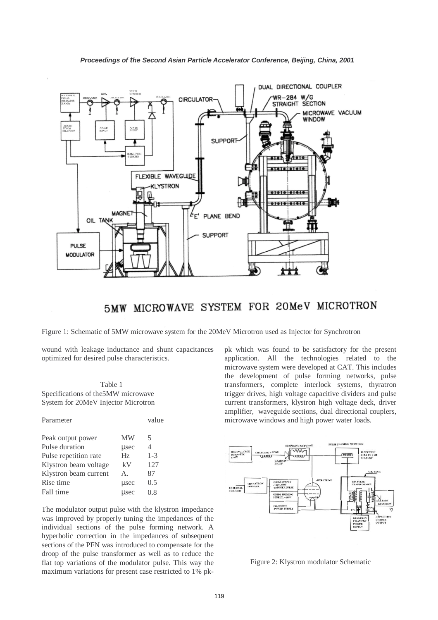

# 5MW MICROWAVE SYSTEM FOR 20MeV MICROTRON

Figure 1: Schematic of 5MW microwave system for the 20MeV Microtron used as Injector for Synchrotron

wound with leakage inductance and shunt capacitances optimized for desired pulse characteristics.

Table 1 Specifications of the5MW microwave System for 20MeV Injector Microtron

|             | value          |
|-------------|----------------|
| MW          | 5              |
| usec        | $\overline{4}$ |
| Hz          | $1 - 3$        |
| kV          | 127            |
| $A_{\cdot}$ | 87             |
| usec        | 0.5            |
| usec        | 0.8            |
|             |                |

The modulator output pulse with the klystron impedance was improved by properly tuning the impedances of the individual sections of the pulse forming network. A hyperbolic correction in the impedances of subsequent sections of the PFN was introduced to compensate for the droop of the pulse transformer as well as to reduce the flat top variations of the modulator pulse. This way the maximum variations for present case restricted to 1% pk-

pk which was found to be satisfactory for the present application. All the technologies related to the microwave system were developed at CAT. This includes the development of pulse forming networks, pulse transformers, complete interlock systems, thyratron trigger drives, high voltage capacitive dividers and pulse current transformers, klystron high voltage deck, driver amplifier, waveguide sections, dual directional couplers, microwave windows and high power water loads.